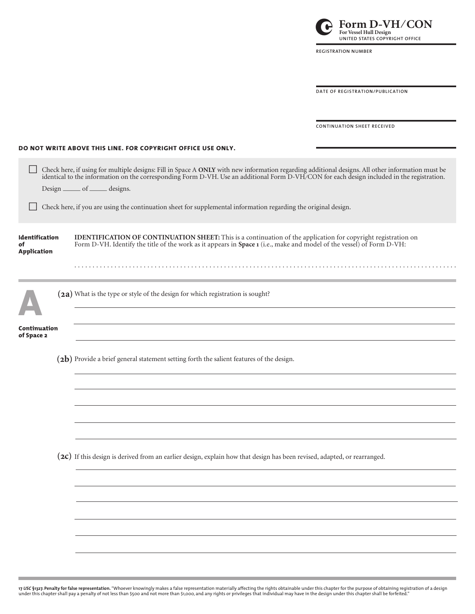| 17 USC §1327. Penalty for false representation. "Whoever knowingly makes a false representation materially affecting the rights obtainable under this chapter for the purpose of obtaining registration of a design |  |
|---------------------------------------------------------------------------------------------------------------------------------------------------------------------------------------------------------------------|--|
| under this chapter shall pay a penalty of not less than \$500 and not more than \$1,000, and any rights or privileges that individual may have in the design under this chapter shall be forfeited."                |  |

|                                            | identical to the information on the corresponding Form D-VH. Use an additional Form D-VH/CON for each design included in the registration.<br>Design ______ of ______ designs.                                                         |  |  |  |  |  |  |
|--------------------------------------------|----------------------------------------------------------------------------------------------------------------------------------------------------------------------------------------------------------------------------------------|--|--|--|--|--|--|
|                                            | Check here, if you are using the continuation sheet for supplemental information regarding the original design.                                                                                                                        |  |  |  |  |  |  |
| Identification<br>of<br><b>Application</b> | IDENTIFICATION OF CONTINUATION SHEET: This is a continuation of the application for copyright registration on<br>Form D-VH. Identify the title of the work as it appears in Space 1 (i.e., make and model of the vessel) of Form D-VH: |  |  |  |  |  |  |
|                                            |                                                                                                                                                                                                                                        |  |  |  |  |  |  |
|                                            | (2a) What is the type or style of the design for which registration is sought?                                                                                                                                                         |  |  |  |  |  |  |
| Continuation<br>of Space 2                 |                                                                                                                                                                                                                                        |  |  |  |  |  |  |
|                                            | (2b) Provide a brief general statement setting forth the salient features of the design.                                                                                                                                               |  |  |  |  |  |  |
|                                            |                                                                                                                                                                                                                                        |  |  |  |  |  |  |
|                                            |                                                                                                                                                                                                                                        |  |  |  |  |  |  |
|                                            | (2C) If this design is derived from an earlier design, explain how that design has been revised, adapted, or rearranged.                                                                                                               |  |  |  |  |  |  |
|                                            |                                                                                                                                                                                                                                        |  |  |  |  |  |  |
|                                            |                                                                                                                                                                                                                                        |  |  |  |  |  |  |
|                                            |                                                                                                                                                                                                                                        |  |  |  |  |  |  |
|                                            |                                                                                                                                                                                                                                        |  |  |  |  |  |  |

ò Check here, if using for multiple designs: Fill in Space A **ONLY** with new information regarding additional designs. All other information must be

## **DO NOT WRITE ABOVE THIS LINE. FOR COPYRIGHT OFFICE USE ONLY.**

| $\operatorname*{Form}_{\text{For Vessel Hull Design}}\operatorname*{D-VH/CON}$<br>UNITED STATES COPYRIGHT OFFICE |
|------------------------------------------------------------------------------------------------------------------|
| <b>REGISTRATION NUMBER</b>                                                                                       |
|                                                                                                                  |
| DATE OF REGISTRATION/PUBLICATION                                                                                 |